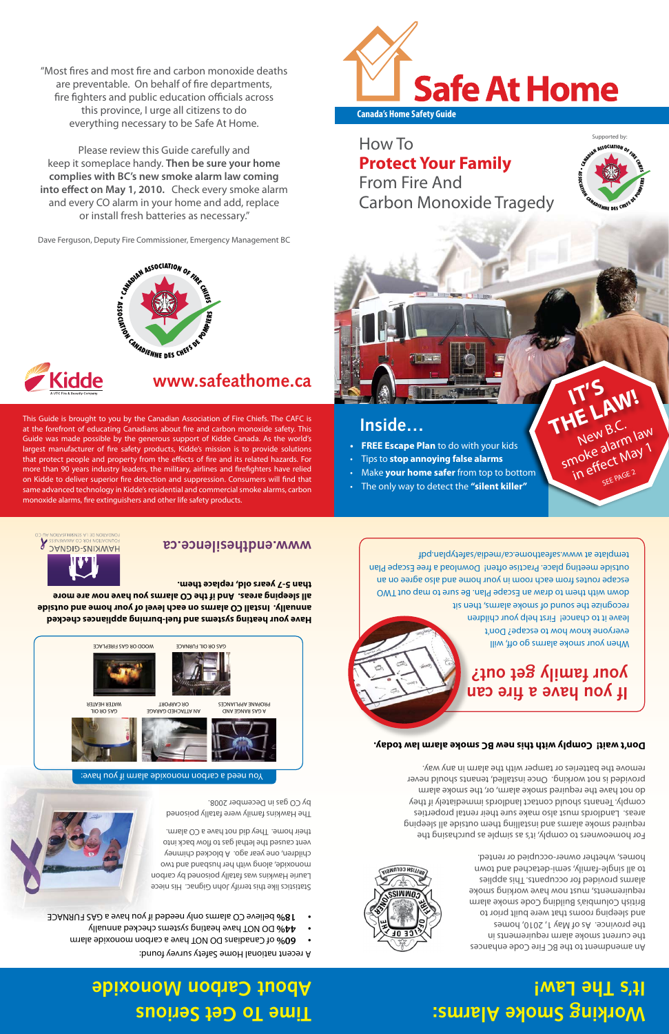"Most fires and most fire and carbon monoxide deaths are preventable. On behalf of fire departments, fire fighters and public education officials across this province, I urge all citizens to do everything necessary to be Safe At Home.

Please review this Guide carefully and keep it someplace handy. **Then be sure your home complies with BC's new smoke alarm law coming into effect on May 1, 2010.** Check every smoke alarm and every CO alarm in your home and add, replace or install fresh batteries as necessary."

Dave Ferguson, Deputy Fire Commissioner, Emergency Management BC



This Guide is brought to you by the Canadian Association of Fire Chiefs. The CAFC is at the forefront of educating Canadians about fire and carbon monoxide safety. This Guide was made possible by the generous support of Kidde Canada. As the world's largest manufacturer of fire safety products, Kidde's mission is to provide solutions that protect people and property from the effects of fire and its related hazards. For more than 90 years industry leaders, the military, airlines and firefighters have relied on Kidde to deliver superior fire detection and suppression. Consumers will find that same advanced technology in Kidde's residential and commercial smoke alarms, carbon monoxide alarms, fire extinguishers and other life safety products.



**Canada's Home Safety Guide**

How To **Protect Your Family** From Fire And Carbon Monoxide Tragedy



**IT'S** 

THE LAW!

smoke alarm law

in effect May 1 SEE PAGE 2



- **• FREE Escape Plan** to do with your kids
- • Tips to **stop annoying false alarms**
- • Make **your home safer** from top to bottom
- • The only way to detect the **"silent killer"**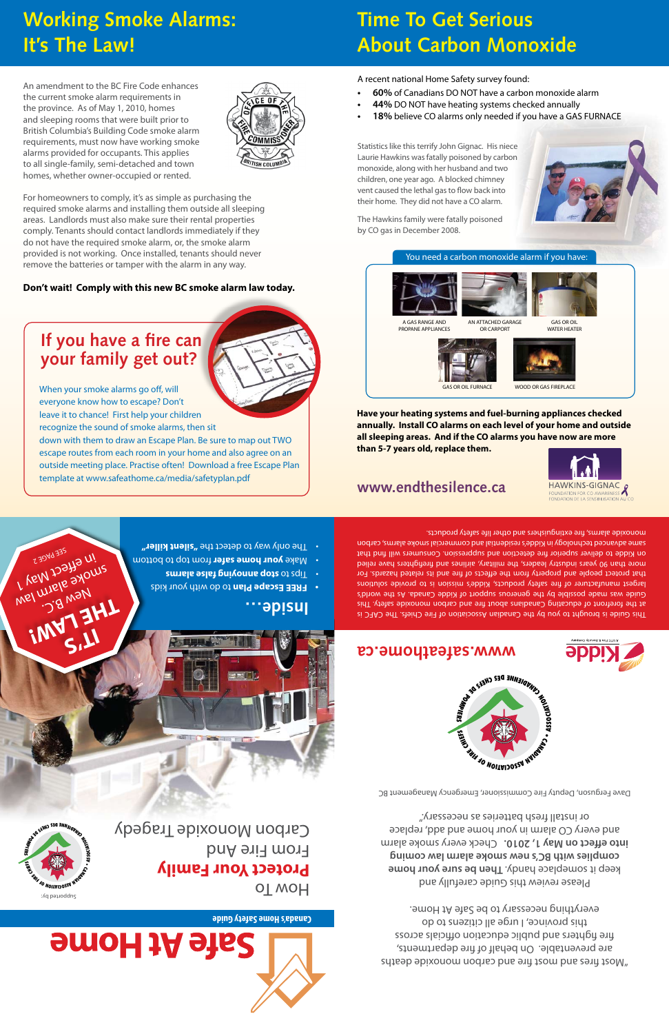## **Working Smoke Alarms: It's The Law!**

An amendment to the BC Fire Code enhances the current smoke alarm requirements in the province. As of May 1, 2010, homes and sleeping rooms that were built prior to British Columbia's Building Code smoke alarm requirements, must now have working smoke alarms provided for occupants. This applies to all single-family, semi-detached and town homes, whether owner-occupied or rented.



For homeowners to comply, it's as simple as purchasing the required smoke alarms and installing them outside all sleeping areas. Landlords must also make sure their rental properties comply. Tenants should contact landlords immediately if they do not have the required smoke alarm, or, the smoke alarm provided is not working. Once installed, tenants should never remove the batteries or tamper with the alarm in any way.

#### **Don't wait! Comply with this new BC smoke alarm law today.**

## **If you have a fire can your family get out?**

When your smoke alarms go off, will everyone know how to escape? Don't leave it to chance! First help your children recognize the sound of smoke alarms, then sit

down with them to draw an Escape Plan. Be sure to map out TWO escape routes from each room in your home and also agree on an outside meeting place. Practise often! Download a free Escape Plan template at www.safeathome.ca/media/safetyplan.pdf

## **Time To Get Serious About Carbon Monoxide**

A recent national Home Safety survey found:

- **60%** of Canadians DO NOT have a carbon monoxide alarm
- **44%** DO NOT have heating systems checked annually
- 18% believe CO alarms only needed if you have a GAS FURNACE

Statistics like this terrify John Gignac. His niece Laurie Hawkins was fatally poisoned by carbon monoxide, along with her husband and two children, one year ago. A blocked chimney vent caused the lethal gas to flow back into their home. They did not have a CO alarm.

The Hawkins family were fatally poisoned by CO gas in December 2008.



#### You need a carbon monoxide alarm if you have:









AN ATTACHED GARAGE OR CARPORT

WATER HEATER





GAS OR OIL FURNACE WOOD OR GAS FIREPLACE

**Have your heating systems and fuel-burning appliances checked annually. Install CO alarms on each level of your home and outside all sleeping areas. And if the CO alarms you have now are more than 5-7 years old, replace them.**

### **www.endthesilence.ca**